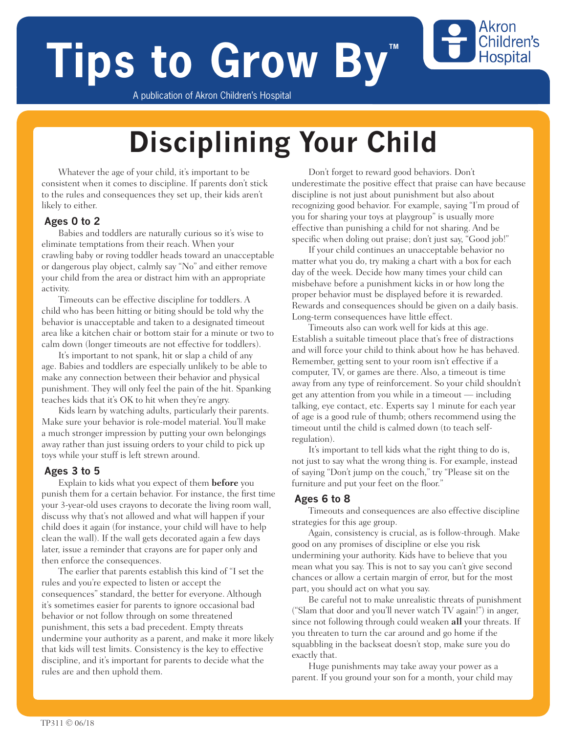# **Tips to Grow By**

A publication of Akron Children's Hospital

## **Disciplining Your Child**

Whatever the age of your child, it's important to be consistent when it comes to discipline. If parents don't stick to the rules and consequences they set up, their kids aren't likely to either.

#### **Ages 0 to 2**

Babies and toddlers are naturally curious so it's wise to eliminate temptations from their reach. When your crawling baby or roving toddler heads toward an unacceptable or dangerous play object, calmly say "No" and either remove your child from the area or distract him with an appropriate activity.

Timeouts can be effective discipline for toddlers. A child who has been hitting or biting should be told why the behavior is unacceptable and taken to a designated timeout area like a kitchen chair or bottom stair for a minute or two to calm down (longer timeouts are not effective for toddlers).

It's important to not spank, hit or slap a child of any age. Babies and toddlers are especially unlikely to be able to make any connection between their behavior and physical punishment. They will only feel the pain of the hit. Spanking teaches kids that it's OK to hit when they're angry.

Kids learn by watching adults, particularly their parents. Make sure your behavior is role-model material. You'll make a much stronger impression by putting your own belongings away rather than just issuing orders to your child to pick up toys while your stuff is left strewn around.

#### **Ages 3 to 5**

Explain to kids what you expect of them **before** you punish them for a certain behavior. For instance, the first time your 3-year-old uses crayons to decorate the living room wall, discuss why that's not allowed and what will happen if your child does it again (for instance, your child will have to help clean the wall). If the wall gets decorated again a few days later, issue a reminder that crayons are for paper only and then enforce the consequences.

The earlier that parents establish this kind of "I set the rules and you're expected to listen or accept the consequences" standard, the better for everyone. Although it's sometimes easier for parents to ignore occasional bad behavior or not follow through on some threatened punishment, this sets a bad precedent. Empty threats undermine your authority as a parent, and make it more likely that kids will test limits. Consistency is the key to effective discipline, and it's important for parents to decide what the rules are and then uphold them.

Don't forget to reward good behaviors. Don't underestimate the positive effect that praise can have because discipline is not just about punishment but also about recognizing good behavior. For example, saying "I'm proud of you for sharing your toys at playgroup" is usually more effective than punishing a child for not sharing. And be specific when doling out praise; don't just say, "Good job!"

Akron Children's **Hospital** 

If your child continues an unacceptable behavior no matter what you do, try making a chart with a box for each day of the week. Decide how many times your child can misbehave before a punishment kicks in or how long the proper behavior must be displayed before it is rewarded. Rewards and consequences should be given on a daily basis. Long-term consequences have little effect.

Timeouts also can work well for kids at this age. Establish a suitable timeout place that's free of distractions and will force your child to think about how he has behaved. Remember, getting sent to your room isn't effective if a computer, TV, or games are there. Also, a timeout is time away from any type of reinforcement. So your child shouldn't get any attention from you while in a timeout — including talking, eye contact, etc. Experts say 1 minute for each year of age is a good rule of thumb; others recommend using the timeout until the child is calmed down (to teach selfregulation).

It's important to tell kids what the right thing to do is, not just to say what the wrong thing is. For example, instead of saying "Don't jump on the couch," try "Please sit on the furniture and put your feet on the floor."

#### **Ages 6 to 8**

Timeouts and consequences are also effective discipline strategies for this age group.

Again, consistency is crucial, as is follow-through. Make good on any promises of discipline or else you risk undermining your authority. Kids have to believe that you mean what you say. This is not to say you can't give second chances or allow a certain margin of error, but for the most part, you should act on what you say.

Be careful not to make unrealistic threats of punishment ("Slam that door and you'll never watch TV again!") in anger, since not following through could weaken **all** your threats. If you threaten to turn the car around and go home if the squabbling in the backseat doesn't stop, make sure you do exactly that.

Huge punishments may take away your power as a parent. If you ground your son for a month, your child may